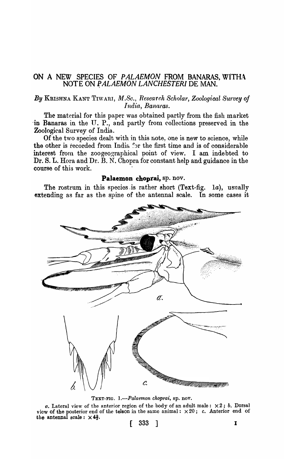## ON A NEW SPECIES OF PALAEMON FROM BANARAS, WITHA NOTE ON PALAEMON LANCHESTERI DE MAN.

## By KRISHNA KANT TIWARI, M.Sc., Research Scholar, Zoological Survey of India, Banaras.

The material for this paper was obtained partly from the fish market in Banaras in the U. P., and partly from collections preserved in the Zoological Survey of India.

Of the two species dealt with in this note, one is new to science, while the other is recorded from India for the first time and is of considerable interest from the zoogeographical point of view. I am indebted to Dr. S. L. Hora and Dr. B. N. Chopra for constant help and guidance in the course of this work.

## Palaemon choprai, sp. nov.

The rostrum in this species is rather short (Text-fig.  $1a$ ), usually extending as far as the spine of the antennal scale. In some cases it



TEXT-FIG. 1.-Palaemon choprai, sp. nov.

a. Lateral view of the anterior region of the body of an adult male:  $\times 2$ ; b. Dorsal view of the posterior end of the telson in the same animal:  $\times 20$ ; c. Anterior end of the antennal scale:  $\times$  4<sup>2</sup>/<sub>3</sub>.

$$
\begin{bmatrix} & 333 & \end{bmatrix}
$$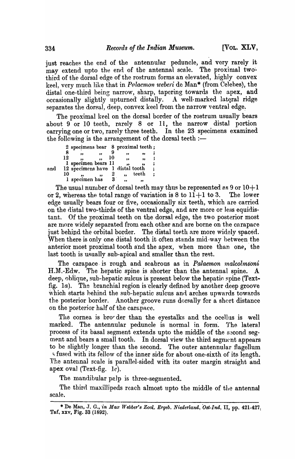just reaches the end of the antennular peduncle, and very rarely it may extend upto the end of the antennal scale. The proximal twothird of the dorsal edge of the rostrum forms an elevated, highly convex keel, very much like that in *Polaemon weberi* de Man<sup>\*</sup> (from Celebes), the distal one-third being narrow, sharp, tapering towards the apex, and occasionally slightly upturned distally. A well-marked lateral ridge separates the dorsal, deep, convex keel from the narrow ventral edge.

The proximal keel on the dorsal border of the rostrum usually bears about  $9$  or 10 teeth, rarely  $8$  or 11, the narrow distal portion carrying one or two, rarely three teeth. In the 23 specimens examined the following is the arrangement of the dorsal teeth  $:$ 

|     |    | 2 specimens bear 8 proximal teeth; |    |    |       |  |
|-----|----|------------------------------------|----|----|-------|--|
|     |    |                                    |    | ,, | 99    |  |
|     | 12 |                                    | 10 | 99 | 99    |  |
|     |    | 1 specimen bears 11                |    |    |       |  |
| and |    | 12 specimens have 1 distal tooth   |    |    |       |  |
|     | 10 |                                    |    |    | teeth |  |
|     |    | 1 specimen has                     | 3  | 99 | ,,    |  |
|     |    |                                    |    |    |       |  |

The usual number of dorsal teeth may thus be represented as  $9$  or  $10+1$ or 2, whereas the total range of variation is 8 to  $11+1$  to 3. The lower edge usually bears four or five, occasionally six teeth, which are carried on the distal two-thirds of the ventral edge, and are more or less equidistant. Of the proximal teeth on the dorsal edge, the two posterior most are more widely separated from each other and are borne on the carapace just behind the orbital border. The distal teeth are more widely spaced. When there is only one distal tooth it often stands mid $\cdot$ way between the anterior most proximal tooth and the apex, when more than one, the last tooth is usually sub-apical and smaller than the rest.

The carapace is rough and scabrous as in *Palaemon malcolmsoni*  $H.M.-Edw.$  The hepatic spine is shorter than the antennal spine. A. deep, oblique, sub-hepatic sulcus is present below the hepatic spine (Textfig. 1a). The branchial region is clearly defined by another deep groove which starts hehind the sub-hepatic sulcus and arches upwards towards the posterior border. Another groove runs dorsally for a short distance on the posterior half of the carapace.

The cornea is bro-der than the eyestalks and the ocellus is well marked. The antennular peduncle is normal in form. The lateral process of its basal segment extends upto the middle of the second segment and bears a small tooth. In dorsal view the third segment appears to be slightly longer than the second. The outer antennular flagellum <sup>~</sup>fused with its fellow of the inner side for about one-sixth of its l~ngth. The antennal scale is parallel-sided with its outer margin straight and apex oval (Text-fig.  $1c$ ).

The mandibular palp is three-segmented.

The third maxillipeds reach almost upto the middle of the antennal scale.

<sup>\*</sup> De Man, J. G., *in Max Webber's Zool. Ergeb. Niederland. Ost-Ind.* II, pp. 421-427. Taf, xxv, Fig. 33 (1892).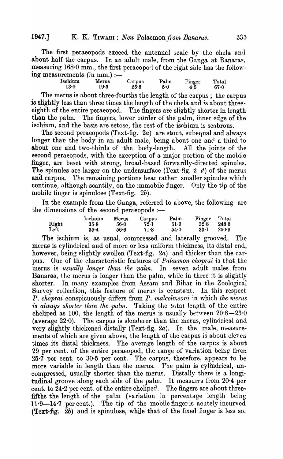The first peraeopods exceed the antennal scale by the chela and about half the carpus. In an adult male, from the Ganga at Banaras, measuring  $168.0$  mm., the first peraeopod of the right side has the following measurements (in  $num$ .) :-

| Ischium<br>13.0 | Merus<br>19.5 | Carpus<br>25.5 | Palm<br>5.0 | Finger<br>4.5 | Total<br>67.0 |
|-----------------|---------------|----------------|-------------|---------------|---------------|
|                 |               |                |             |               |               |

The merus is about three-fourths the length of the carpus; the carpus is slightly less than three times the length of the chela and is about threeeighth of the entire peraeopod. The fingers are slightly shorter in length than the palm. The fingers, lower border of the palm, inner edge of the ischium, and the basis are setosc, the rest of the ischium is scabrous.

The second peraeopods (Text-fig.  $2a$ ) are stout, subequal and always longer than the body in an adult male, being about one and a third to about one and two-thirds of the body-length. All the joints of the second peraeopods, with the exception of a major portion of the mobile finger, are beset with strong, broad-based forwardly-directed spinules. The spinules are larger on the undersurface (Text-fig. 2 d) of the merus and carpus. The remaining portions bear rather smaller spinules which continue, although scantily, on the immobile finger. Only the tip of the mobile finger is spinulose (Text-fig. 2b).

In the example from the Ganga, referred to above, the following are the dimensions of the second peraeopods  $:$ 

|       | Ischium  | Merus | Carpus | Palm | Finger | Total |
|-------|----------|-------|--------|------|--------|-------|
| Right | 35.8     | 56.0  | 72.1   | 51.9 | 32.8   | 2486  |
| Left  | $35 - 4$ | 56.6  | 71.8   | 54.0 | 33·1   | 250.9 |

The ischium is, as usual, compressed and laterally grooved. The merus is cylindrical and of more or less uniform thickness, its distal end, however, being slightly swollen (Text-fig. 2a) and thicker than the carpus. One of the characteristic features of *Palaemon choprai* is that the merus is *usually longer than the palm*. In seven adult males from Banaras, the merus is longer than the palm, while in three it is slightly shorter. In many examples from Assam and Bihar in the Zoological Survey collection, this feature of merus is constant. In this respect P. *choprai* conspicuously differs from P. malcolmsoni in which the merus *is always shorter than the palm.* Taking the total length of the entire cheliped as 100, the length of the merus is usually between  $20.8-23.0$ (average 22.0). The carpus is slenderer than the merus, cylindrical and very slightly thickened distally (Text-fig. 2a). In the male, measurements of which are given above, the length of the carpus is about eleven times its distal thickness. The average length of the carpus is about 29 per cent. of the entire peraeopod, the range of variation being from  $25\cdot 7$  per cent. to  $30\cdot 5$  per cent. The carpus, therefore, appears to be more variable in length than the merus. The palm is cylindrical, uncompressed, usually shorter than the merus. Distally there is a longitudinal groove along each side of the palm. It measures from  $20.4$  per cent. to 24·2 per cent. of the entire cheliped. The fingers are about threefifths the length of the palm (variation in percentage length being 11.9-14.7 per cent.). The tip of the mobile finger is acutely incurved  $(Text-fig. 2b)$  and is spinulose, while that of the fixed finger is less so.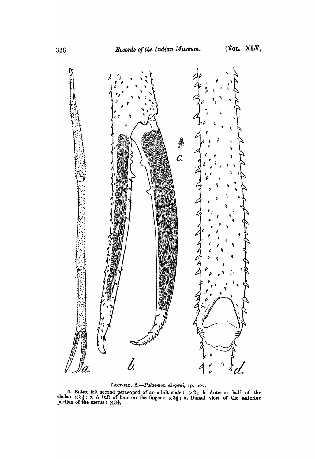

TEXT-FIG. 2 .- Palaemon choprai, sp. nov.

a. Entire left second peracopod of an adult male:  $\times 2$ ; b. Anterior half of the chela:  $\times 3\frac{1}{3}$ ; c. A tuft of hair on the finger:  $\times 3\frac{1}{3}$ ; d. Dorsal view of the anterior portion of the merus:  $\times 3\frac{1}{3}$ .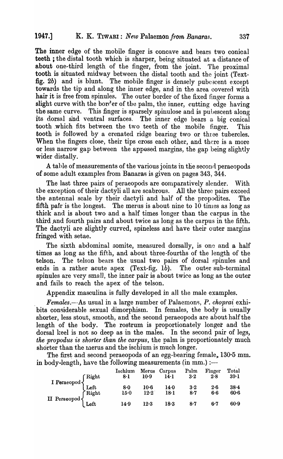The inner edge of the mobile finger is concave and bears two conical teeth; the distal tooth which is sharper, being situated at a distance of about one-third length of the finger, from the joint. The proximal tooth is situated midway between the distal tooth and the joint (Textfig. 2b) and is blunt. The mobile finger is densely pubescent except towards the tip and along the inner edge, and in the area covered with hair it is free from spinules. The outer border of the fixed finger forms a slight curve with the border of the palm, the inner, cutting edge having the same curve. This finger is sparsely spinulose and is pubescent along its dorsal and ventral surfaces. The inner edge bears a big conical tooth which fits between the two teeth of the mobile finger. This tooth is followed by a crenated ridge bearing two or three tubercles. When the fingers close, their tips cross each other, and there is a more or less narrow gap between the apposed margins, the gap being slightly wider distally.

A table of measurements of the various joints in the second peraeopods of some adult examples from Banaras is given on pages 343, 344.

The last three pairs of peraeopods are comparatively slender. With the exception of their dactyli all are scabrous. All the three pairs exceed the antennal scale by their dactyli and half of the propodites. The fifth pair is the longest. The merus is about nine to  $10$  times as long as thick and is about two and a half times longer than the carpus in the third and fourth pairs and about twice as long as the carpus in the fifth. The dactyli are slightly curved, spineless and have their outer margins fringed with setae.

The sixth abdominal somite, measured dorsally, is one and a half times as long as the fifth, and about three-fourths of the length of the telson. The telson bears the usual two pairs of dorsal spinules and ends in a rather acute apex (Text-fig. 1b). The outer sub-terminal spinules are very small, the inner pair is about twice as long as the outer and fails to reach the apex of the telson.

Appendix masculina is fully developed in all the male examples.

*Females.*--As usual in a large number of Palaemons, *P. choprai* exhibits considerable sexual dimorphism. In females, the body is usually shorter, less stout, smooth, and the second peraeopods are about half the length of the body. The rostrum is proportionately longer and the dorsal keel is not so deep as in the males. In the second pair of legs, *the propodus is shorter than the carpus,* the palm is proportionately much shorter than the merus and the ischium is much longer.

The first and second peraeopods of an egg-bearing female, 130.5 mm. in body-length, have the following measurements (in mm.) :-

|                                                                                                                                           | Ischium<br>8·1 | Merus<br>$10-9$ | Carpus<br>14·1 | Palm<br>3.2       | Finger<br>2.8 | Total<br>$39-1$    |
|-------------------------------------------------------------------------------------------------------------------------------------------|----------------|-----------------|----------------|-------------------|---------------|--------------------|
| $\begin{array}{c}\nI \,\, \text{Peraeopod} \\ \text{Left} \\ \text{II} \,\, \text{Peraeopod} \\ \text{Left} \\ \text{Left}\n \end{array}$ | 8.0<br>$15-0$  | $10-6$<br>12.2  | 14.0<br>$18-1$ | $\frac{3.2}{8.7}$ | 2.6<br>6.6    | $38 - 4$<br>$60-6$ |
|                                                                                                                                           | 14.9           | $12-3$          | 18.3           | 8.7               | 6.7           | 60.9               |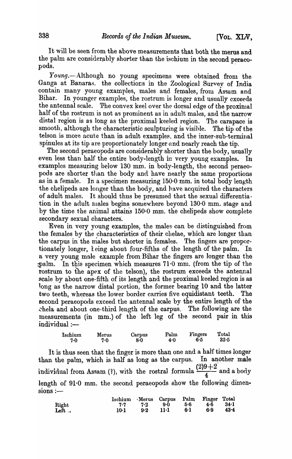It will be seen from the above measurements that both the mems and the palm are considerably shorter than the ischium in the second peraeopods.

Young.--Although no young specimens were obtained from the Ganga at Banaras. the collections in the Zoological Survey of India contain many young examples, males and females, from Assam and Bihar. In younger examples, the rostrum is longer and usually exceeds the antennal scale. The convex keel over the dorsal edge of the proximal The convex keel over the dorsal edge of the proximal half of the rostrum is not as prominent as in adult males, and the narrow distal region is as long as the proximal keeled region. The carapace is smooth, although the characteristic sculpturing is visible. The tip of the telson is more acute than in adult examples, and the inner-sub-terminal spinules at its tip are proportionately longer and nearly reach the tip.

The second peraeopods are considerably shorter than the body, usually even less than half the entire body-length in very young examples. In examples measuring below 130 mm. in body-length, the second peraeopods are shorter than the body and have nearly the same proportions as in a female. In a specimen measuring  $150.0$  mm. in total body length the chelipeds are longer than the body, and have acquired the characters of adult males. It should thus be presumed that the sexual differentiation in the adult males begins somewhere beyond  $130·0$  mm. stage and by the time the animal attains  $150.0$  mm. the chelipeds show complete secondary sexual characters.

Even in very young examples, the males can be distinguished from the females by the characteristics of their chelae, which are longer than the carpus in the males but shorter in females. The fingers are proportionately longer, keing about four-fifths of the length of the palm. In a very young male example from Bihar the fingers are longer than the  $~\text{palm.}$  In this specimen which measures 71.0 mm. (from the tip of the rostrum to the apex of the telson), the rostrum exceeds the antennal scale by about one-fifth of its length and the proximal keeled region is as long as the narrow distal portion, the former bearing 10 and the latter two teeth, whereas the lower border carries five equidistant teeth. The second peraeopods exceed. the antennal scale by the entire length of the chela and about one-third length of the carpus. The following are the measurements (in mm.) of the left leg of the second pair in this  $indivial :=$ 

| Ischium | Merus | Carpus | Palm | Fingers | Total    |
|---------|-------|--------|------|---------|----------|
| 7.0     | 7.0   | 8.0    | 4.0  | 6.5     | $32 - 5$ |

It is thus seen that the finger is more than one and a half times longer than the palm, which is half as long as the carpus. In another male individual from Assam (?), with the rostral formula  $\frac{(2)9+2}{4}$  and a body length of  $91·0$  mm. the second peraeopods show the following dimen $sions :=$ 

|               | Ischium Merus Carpus Palm Finger Total |     |             |      |              |      |
|---------------|----------------------------------------|-----|-------------|------|--------------|------|
|               | 7.7                                    |     | 7.2 9.0 5.6 |      | $4.6$ $34.1$ |      |
| Right<br>Left | 10.1                                   | 9.2 | -114 -      | 6. L | 6.9          | 43.4 |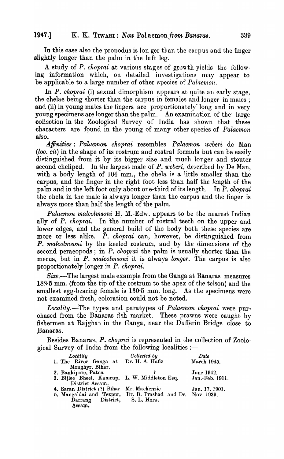In this case also the propodus is longer than the carpus and the finger slightly longer than the palm in the left leg.

A study of *P. choprai* at various stages of growth yields the following information which, on detailed investigations may appear to be applicable to a large number of other species of *Palaemon*.

In *P. choprai* (i) sexual dimorphism appears at quite an early stage, the chelae being shorter than the carpus in females and longer in males; and (ii) in young males the fingers are proportionately long and in very young specimens are longer than the palm. An examination of the-large collection in the Zoological Survey of India has shown that these characters are found in the young of many other species of *Palaemon* also.

*Affinities: Palaemon choprai* resembles *Palaemon weberi* .de Man *(loc. cit)* in the shape of its rostrum and rostral formula but can be easily distinguished from it by its bigger size and much longer and stouter second cheliped. In the largest male of P. weberi, described by De Man, with a body length of  $104$  mm., the chela is a little smaller than the carpus, and the finger in the right foot less than half the length of the palm and in the left foot only about one-third of its length. In *P. choprai* the chela in the male is always longer than the carpus and the finger is always more than half the length of the palm.

*Palaemon malcolmsoni* H. M.-Edw. appears to be the nearest Indian ally of *P. choprai*. In the number of rostral teeth on the upper and lower edges, and the general build of the body both these species are more or less alike.  $\overline{P}$ . *choprai* can, however, be distinguished from **P.** malcolmsoni by the keeled rostrum, and by the dimensions of the second peraeopods; in *P. choprai* the palm is usually shorter than the merus, but in *P. malcolmsoni* it is always *longer*. The carpus is also proportionately longer in *P. choprai.* 

Size.-The largest male example from the Ganga at Banaras measures 188 $\cdot$ 5 mm. (from the tip of the rostrum to the apex of the telson) and the smallest egg-bearing female is  $130.5$  mm. long. As the specimens were not examined fresh, coloration could not be noted.

*Locality.*—The types and paratypes of *Palaemon choprai* were purchased from the Banaras fish market. These prawns were caught by fishermen at Rajghat in the Ganga, near the Dufferin Bridge close to Banaras.

Besides Banaras, *P. choprai* is represented in the collection of Zoological Survey of India from the following localities :-

| Locality                                                   | Collected by | Date            |
|------------------------------------------------------------|--------------|-----------------|
| 1. The River Ganga at Dr. H. A. Hafiz                      |              | March 1945.     |
| Monghyr, Bihar.                                            |              |                 |
| 2. Bankipore, Patna                                        |              | June 1942.      |
| 3. Bijlee Bheel, Kamrup, L. W. Middleton Esq.              |              | Jan.-Feb. 1911. |
| District Assam.                                            |              |                 |
| 4. Saran District (?) Bihar Mr. Mackenzie                  |              | Jan. 17, 1901.  |
| 5. Mangaldai and Tezpur, Dr. B. Prashad and Dr. Nov. 1939, |              |                 |
| Darrang District, S. L. Hora.                              |              |                 |
| Assam.                                                     |              |                 |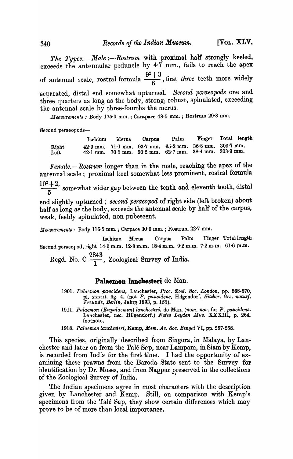*The Types.--Male :--Rostrum* with proximal half strongly keeled, exceeds the antennular peduncle by 4·7 mm., fails to reach the apex of antennal scale, rostral formula  $\frac{9^2+3}{6}$ , first *three* teeth more widely -separated, distal end somewhat upturned. *Second peraeopods* one and

three quarters as long as the body, strong, robust, spinulated, exceeding the antenna} scale by three-fourths the merus.

*ltfeasurements:* Body 175·0 mm.; Carapaee 48·5 mm. ; Rostrum 29·8 mm.

Second peraeor ods-

Ischium Merus Carpus Palm Finger Total length Right 42.9 mm. 71.1 mm. 93.7 mm. 65.2 mm. 36.8 mm. 309.7 mm.<br>Left 42.1 mm. 70.5 mm. 90.2 mm. 62.7 mm. 38.4 mm. 303.9 mm. Left  $42.1 \text{ mm}$ .  $70.5 \text{ mm}$ .  $90.2 \text{ mm}$ .

*Female.-Rostrum* longer than in the male, reaching the apex of the antennal scale; proximal keel somewhat less prominent, rostral formula

 $\frac{10^2+2}{5}$ , somewhat wider gap between the tenth and eleventh tooth, distal

end slightly upturned; *second peraeopod* of right side (left broken) about half as long as the body, exceeds the antennal scale by half of the carpus, weak, feebly spinulated, non-pubescent.

*Measurement8:* Body 116·5 mm.; Carpace 30·0 mm.; Rostrum 22·7 mm.

Ischium Merns Carpus Palm Finger Totallength Second peraeopod, right 14.0 m.m. 12.8 m.m. 18.4 m.m. 9.2 m.m. 7.2 m.m. 61.6 m.m.

Regd. No. C  $\frac{2843}{1}$ , Zoological Survey of India.

## Palaemon lanchesteri de Man.

- *1901. Palaemon paucidens,* Lanchester, *Proc. Zool. Soc. London,* pp. 568-570, pI. xxxiii, fig. 4, (not *P. paucidens,* Hilgendorf, *Sitzber. Ges. naturf. Freunde, Berlin,* Jahrg 1893, p. 155).
- *1911. Palaemon (Eupalaemon) lanchesteri,* de Man, *(nom. nov.* for *P. paucidens.*  Lanchester, *nec.* Hilgendorf.) *Note8 Leyden Mus.* XXXIII, p. 264. footnote.
- *1918. Palaemon lanchesteri,* Kemp, *Mem. As. Soc. Bengal* VI, pp. 257-258.

This species, originally described from Singora, in Malaya, by Lanchester and later on from the Talé Sap, near Lampam, in Siam by Kemp, is recorded from India for the first time. I had the opportunity of examining these prawns from the Baroda State sent to the Survey for identification by Dr. Moses, and from Nagpur preserved in the collections of the Zoological Survey of India. '

The Indian specimens agree in most characters with the description given by Lanchester and Kemp. Still, on comparison with Kemp's specimens from the Talé Sap, they show certain differences which may prove to be of more than.1ocal importance,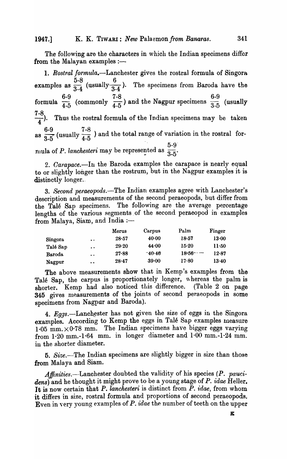The following are the characters in which the Indian specimens differ from the Malayan examples  $:$   $-$ 

1. Rostral formula.—Lanchester gives the rostral formula of Singora  $5-8$ ,  $10$ examples as  $\frac{3}{34}$  (usually  $\frac{3}{34}$ ). The specimens from Baroda have the  $6-9$  ,  $7-8$  ,  $1 \tImes 6-9$ formula  $\frac{1}{4-5}$  (commonly  $\frac{1}{4-5}$ ) and the Nagpur specimens  $\frac{1}{3-5}$  (usually  $\frac{7-8}{4}$ ). Thus the rostral formula of the Indian specimens may be taken as  $\frac{6-9}{3-5}$  (usually  $\frac{7-8}{4-5}$ ) and the total range of variation in the rostral for- $5-9$ mula of P. *lanchesteri* may be represented as  $\frac{1}{3.5}$ .

*2. Carapace.-In* the Baroda examples the carapace is nearly equal to or slightly longer than the rostrum, but in the Nagpur examples it is distinctly longer.

*3. Second peraeopods.-The* Indian examples agree with Lanchester's description and measurements of the second peraeopods, but differ from the Tale Sap specimens. The following are the average percentage lengths of the various segments of the second peraeopod in examples from Malaya, Siam, and India  $:$ ---

|          |                      | Merus     | Carpus   | Palm      | Finger  |
|----------|----------------------|-----------|----------|-----------|---------|
| Singora  | $\ddot{\phantom{a}}$ | $28 - 57$ | 40.00    | 18.57     | 13.00   |
| Talé Sap | $\bullet$            | 29.20     | 44.00    | $15 - 20$ | 11.50   |
| Baroda   | $\bullet\bullet$     | 27.88     | $-40.46$ | 18.56     | 12.87   |
| Nagpur   | $\bullet$            | $28 - 47$ | 39.00    | $17 - 80$ | $13-40$ |

The above measurements show that in Kemp's examples from 'the Talé Sap, the carpus is proportionately longer, whereas the palm is shorter. Kemp had also noticed this difference. (Table 2 on page 345 gives measurements of the joints of second peraeopods in some specimens from Nagpur and Baroda).

4. Eggs.-Lanchester has not given the size of eggs in the Singora examples. According to Kemp the eggs in Talé Sap examples measure 1.05 mm.  $\times$ 0.78 mm. The Indian specimens have bigger eggs varying from 1·20 mm.-l·64 mm. in longer diameter and 1·00 mm.-1·24 mm. in the shorter diameter.

5. Size.-The Indian specimens are slightly bigger in size than those from Malaya and Siam.

Affinities.—Lanchester doubted the validity of his species (P. pauci*dens)* and he thought it might prove to be a young stage of *P. idae* Heller. It is now certain that *P. lanchesteri* is distinct from *P. idae,* from whom it differs in size, rostral formula and proportions of second peraeopods. Even in very young examples of *P. idae* the nunlber of teeth on the upper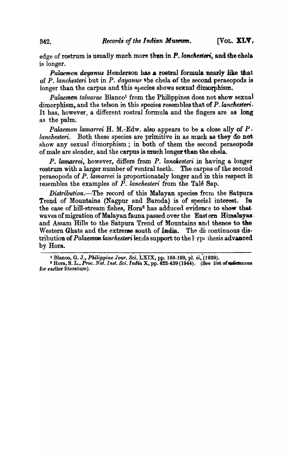edge of rostrum is usually much more than in *P*, *lanchesteri*, and the chela *is* longer.

*Palaemon dayanus* Henderson has a rostral formula nearly like that of P. lanchesteri but in P. dayanus the chela of the second peraeopods is longer than the carpus and this  $s_t$  ecies shows sexual dimorphism.

Palaemon *talvarae* Blanco<sup>1</sup> from the Philippines does not show sexual dimorphism, and the telson in this species resembles that of P. lanchesteri. It has, however) a different rostral formula and the fingers are as long as the palm.

*Palaemon lamarrei* H. M.-Edw. also appears to be a close ally of  $P$ . *lanchesteri.* Both these species are primitive in as much as they do not show any sexual dimorphism; in both of them the second peraeopods of male are slender, and the carpus is much longer than the chela.

P. *lamarrei*, however, differs from P. *lanchesteri* in having a longer rostrum with a larger number of ventral teeth. The carpus of the second peraeopods of P. *lamarrei* is proportionately longer and in this respect it resembles the examples of P. *lanchesteri* from the Tale Sap.

*Distribution.*-The record of this Malayan species from the Satpura Trend of Mountains (Nagpur and Baroda) is of special interest. In the case of hill-stream fishes, Hora<sup>2</sup> has adduced evidence to show that waves of migration of Malayan fauna passed over the Eastern Himalayas. and Assam Hills to the Satpura Trend of Mountains and thence to the Western Ghats and the extreme south of India. The discontinuous distribution of *Palaemon lanchesteri* lends support to the *l*<sub>Pp(</sub> thesis advanced by Hora.

<sup>&</sup>lt;sup>1</sup> Blanco, G. J., *Philippine Jour. Sci.* LXIX, pp. 168-169, pl. *ii*, (1939).

 $^2$  Hora, S. L., *Proc. Nat. Inst. Sci. India* X, pp. 423-439 (1944). (See iist of **nefere**nces for earlier literature).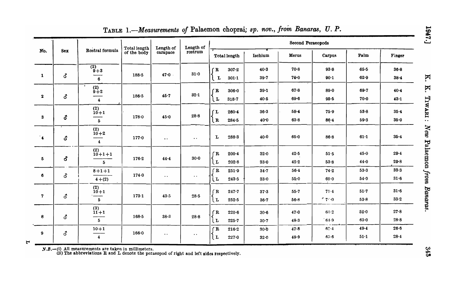|                   |          |                                                 | Total length | Length of            | Length of           |                                               |                      | Second Peraeopods    |                         |                      |                      |
|-------------------|----------|-------------------------------------------------|--------------|----------------------|---------------------|-----------------------------------------------|----------------------|----------------------|-------------------------|----------------------|----------------------|
| No.               | Sex      | Rostral formula                                 | of the body  | carapace             | rostrum             | Total length                                  | Ischium              | Merus                | Carpus                  | Palm                 | Finger               |
| $\mathbf{1}$      | 3        | $\frac{(2)}{9+3}$<br>6                          | 188.5        | 47.0                 | 31.0                | $\overline{B}$<br>$307 - 2$<br>$301 - 1$<br>L | $40-3$<br>39.7       | $70 - 8$<br>70.0     | 93.8<br>$90-1$          | $65 - 5$<br>$62 - 9$ | $36 - 8$<br>$38 - 4$ |
| $\mathbf{z}$      | 3        | $\overset{(2)}{9+2}$<br>$\overline{\mathbf{4}}$ | $186 - 5$    | 45.7                 | 32.1                | $\mathbf{R}$<br>$306 - 0$<br>ίr<br>$318 - 7$  | $39-1$<br>40.5       | $67 - 8$<br>$69 - 6$ | $89-0$<br>95.5          | $69 - 7$<br>$70 - 0$ | 40.4<br>$43 - 1$     |
| 3                 | 8        | $_{10+1}^{(2)}$<br>5 <sup>5</sup>               | $178 - 0$    | 45.0                 | $28 - 8$            | $260 - 4$<br>ſL<br>$\mathbf{R}$<br>$284 - 5$  | $36 - 3$<br>40.0     | $58 - 4$<br>63.8     | 75.9<br>86.4            | 53.8<br>59.3         | $35 - 4$<br>$35-0$   |
| $\cdot$           | ්        | $_{10+2}^{(2)}$<br>$\overline{\mathbf{4}}$      | 177.0        | $\ddot{\phantom{0}}$ | $\bullet$ $\bullet$ | L<br>$288 - 3$                                | $40 - 0$             | $65 - 0$             | 86.8                    | $61-1$               | $35 - 4$             |
| 5                 | ර        | $^{(2)}_{10+1+1}$<br>5 <sup>5</sup>             | $176 - 2$    | 44.4                 | $30-0$              | r R<br>$200 - 4$<br>$\lfloor$ L<br>$202 - 8$  | 32.0<br>$33-0$       | $42-5$<br>42.2       | 51.5<br>53.8            | 45.0<br>44.0         | 29.4<br>29.8         |
| 6                 | 3        | $8 + 1 + 1$<br>$4+(2)$                          | 174.0        | $\bullet$ $\bullet$  | $\ddotsc$           | $\mathbf{R}$<br>$251 - 9$<br>ίı<br>243.5      | $34 - 7$<br>$33 - 0$ | $56-1$<br>55.0       | 74.2<br>$69 - 0$        | $53-3$<br>54.9       | 33.3<br>$31-6$       |
| 7                 | <b>ි</b> | (2)<br>$10+1$<br>5 <sub>1</sub>                 | $173 - 1$    | 43.5                 | $28 - 5$            | $\overline{B}$<br>247.7<br>ίL<br>$252 - 5$    | $37 - 3$<br>$36 - 7$ | 55.7<br>$56-8$       | 71.4<br>$-7.0$          | 51.7<br>53.8         | 31.6<br>$33-2$       |
| 8                 | <b>3</b> | (3)<br>$11 + 1$<br>5 <sup>1</sup>               | 168.5        | $38 - 3$             | 28.8                | fR<br>$220 - 6$<br>$\mathbf{L}$<br>$225 - 7$  | $30-6$<br>30.7       | 47.0<br>48.3         | 63.2<br>64.9            | 52.0<br>63.0         | 27.8<br>$28 - 8$     |
| $\mathbf{9}$<br>Ħ | <b>3</b> | $10 + 1$<br>$\overline{\mathbf{4}}$             | 166.0        | $\sim$ $\sim$        | $\cdot$ .           | f R<br>216.2<br>$\lfloor$ L<br>$227 - 0$      | $30-0$<br>32.0       | 47.8<br>49.9         | $6^\circ 4$<br>$65 - 6$ | 49.4<br>51.1         | $26 - 6$<br>$28 - 4$ |

TABLE 1.-Measurements of Palaemon choprai; sp. nov., from Banaras, U. P.

 $N.B.$  (i) All measurements are taken in millimeters.<br>(ii) The abbreviations  $R$  and  $L$  denote the peraeopod of right and left sides respectively.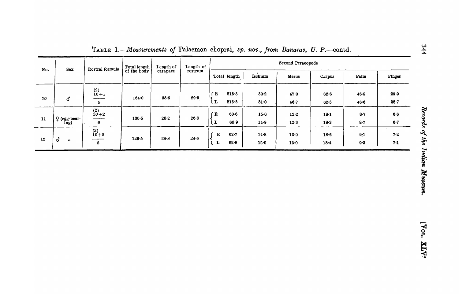| No. | Total length<br>Rostral formula<br><b>Sex</b> |                                           | Length of | Length of | Second Peraeopods |                                         |                  |                   |                      |              |                  |  |  |
|-----|-----------------------------------------------|-------------------------------------------|-----------|-----------|-------------------|-----------------------------------------|------------------|-------------------|----------------------|--------------|------------------|--|--|
|     |                                               | of the body                               | carapace  | rostrum   | Total length      | Ischium                                 | Merus            | $C_{\alpha}$ rpus | Palm                 | Finger       |                  |  |  |
| 10  | <b>ි</b>                                      | $^{(2)}_{10+1}$<br>___<br>5               | $164 - 0$ | $38 - 5$  | 29.5              | $\mathbf{R}$<br>215.3<br>215.5<br>L     | $30 - 2$<br>31.0 | 47.0<br>$46 - 7$  | $62 - 6$<br>$62 - 5$ | 46.5<br>46.6 | 29.0<br>$28 - 7$ |  |  |
| 11  | $\varphi$ (egg-bear-<br>ing)                  | $_{10+2}^{(2)}$<br>6                      | $130 - 5$ | $28 - 2$  | $26 - 8$          | $60 - 6$<br>$\mathbf{R}$<br>$60-9$<br>L | 15.0<br>14.9     | 12.2<br>12.3      | $18 - 1$<br>$18 - 3$ | 8.7<br>8.7   | 6.6<br>$6-7$     |  |  |
| 12  | 3<br>$^{\bullet}$                             | $^{(2)}_{10+2}$<br>___<br>$5\overline{6}$ | $129 - 5$ | $28 - 8$  | 24.6              | $\mathbf R$<br>$62 - 7$<br>82.8<br>L    | 14.8<br>$15 - 0$ | 13.0<br>13.0      | $18-6$<br>$18 - 4$   | 9:1<br>9.3   | $7 - 2$<br>7.1   |  |  |

TABLE 1.-Measurements of Palaemon choprai, sp. nov., from Banaras, U. P.-contd.